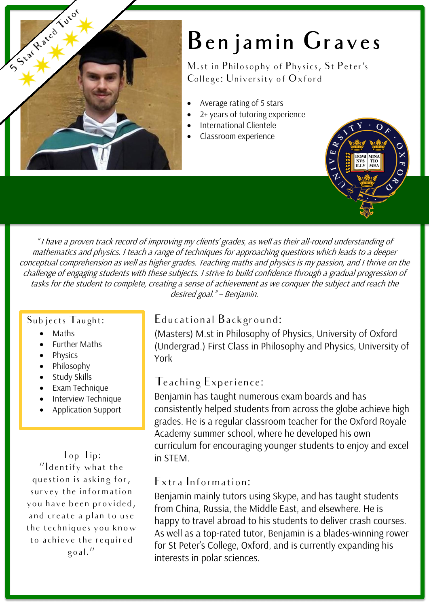

## Benjamin Graves

M.st in Philosophy of Physics, St Peter's College: University of Oxford

- Average rating of 5 stars
- 2+ years of tutoring experience
- International Clientele
- Classroom experience



" <sup>I</sup> have a proven track record of improving my clients' grades, as well as their all-round understanding of mathematics and physics. I teach a range of techniques for approaching questions which leads to a deeper conceptual comprehension as well as higher grades. Teaching maths and physics is my passion, and I thrive on the challenge of engaging students with these subjects. I strive to build confidence through a gradual progression of tasks for the student to complete, creating a sense of achievement as we conquer the subject and reach the desired goal." – Benjamin.

#### Subjects Taught:

- Maths
- Further Maths
- Physics
- Philosophy
- Study Skills
- Exam Technique
- Interview Technique
- Application Support

Top Tip:

"Identify what the question is asking for, survey the information you have been provided, and create a plan to use the techniques you know to achieve the required goal."

#### Educational Background:

(Masters) M.st in Philosophy of Physics, University of Oxford (Undergrad.) First Class in Philosophy and Physics, University of York

#### Teaching Experience:

Benjamin has taught numerous exam boards and has consistently helped students from across the globe achieve high grades. He is a regular classroom teacher for the Oxford Royale Academy summer school, where he developed his own curriculum for encouraging younger students to enjoy and excel in STEM.

#### Extra Information:

Benjamin mainly tutors using Skype, and has taught students from China, Russia, the Middle East, and elsewhere. He is happy to travel abroad to his students to deliver crash courses. As well as a top-rated tutor, Benjamin is a blades-winning rower for St Peter's College, Oxford, and is currently expanding his interests in polar sciences.